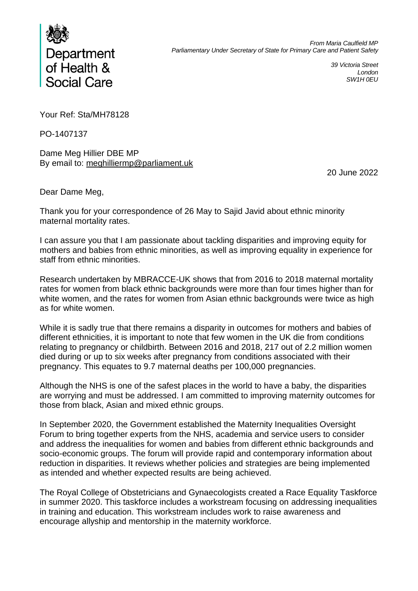

*39 Victoria Street London SW1H 0EU*

Your Ref: Sta/MH78128

PO-1407137

Dame Meg Hillier DBE MP By email to: [meghilliermp@parliament.uk](mailto:meghilliermp@parliament.uk)

20 June 2022

Dear Dame Meg,

Thank you for your correspondence of 26 May to Sajid Javid about ethnic minority maternal mortality rates.

I can assure you that I am passionate about tackling disparities and improving equity for mothers and babies from ethnic minorities, as well as improving equality in experience for staff from ethnic minorities.

Research undertaken by MBRACCE-UK shows that from 2016 to 2018 maternal mortality rates for women from black ethnic backgrounds were more than four times higher than for white women, and the rates for women from Asian ethnic backgrounds were twice as high as for white women.

While it is sadly true that there remains a disparity in outcomes for mothers and babies of different ethnicities, it is important to note that few women in the UK die from conditions relating to pregnancy or childbirth. Between 2016 and 2018, 217 out of 2.2 million women died during or up to six weeks after pregnancy from conditions associated with their pregnancy. This equates to 9.7 maternal deaths per 100,000 pregnancies.

Although the NHS is one of the safest places in the world to have a baby, the disparities are worrying and must be addressed. I am committed to improving maternity outcomes for those from black, Asian and mixed ethnic groups.

In September 2020, the Government established the Maternity Inequalities Oversight Forum to bring together experts from the NHS, academia and service users to consider and address the inequalities for women and babies from different ethnic backgrounds and socio-economic groups. The forum will provide rapid and contemporary information about reduction in disparities. It reviews whether policies and strategies are being implemented as intended and whether expected results are being achieved.

The Royal College of Obstetricians and Gynaecologists created a Race Equality Taskforce in summer 2020. This taskforce includes a workstream focusing on addressing inequalities in training and education. This workstream includes work to raise awareness and encourage allyship and mentorship in the maternity workforce.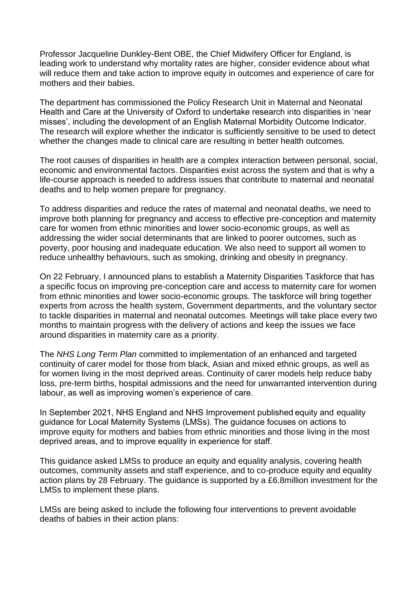Professor Jacqueline Dunkley-Bent OBE, the Chief Midwifery Officer for England, is leading work to understand why mortality rates are higher, consider evidence about what will reduce them and take action to improve equity in outcomes and experience of care for mothers and their babies.

The department has commissioned the Policy Research Unit in Maternal and Neonatal Health and Care at the University of Oxford to undertake research into disparities in 'near misses', including the development of an English Maternal Morbidity Outcome Indicator. The research will explore whether the indicator is sufficiently sensitive to be used to detect whether the changes made to clinical care are resulting in better health outcomes.

The root causes of disparities in health are a complex interaction between personal, social, economic and environmental factors. Disparities exist across the system and that is why a life-course approach is needed to address issues that contribute to maternal and neonatal deaths and to help women prepare for pregnancy.

To address disparities and reduce the rates of maternal and neonatal deaths, we need to improve both planning for pregnancy and access to effective pre-conception and maternity care for women from ethnic minorities and lower socio-economic groups, as well as addressing the wider social determinants that are linked to poorer outcomes, such as poverty, poor housing and inadequate education. We also need to support all women to reduce unhealthy behaviours, such as smoking, drinking and obesity in pregnancy.

On 22 February, I announced plans to establish a Maternity Disparities Taskforce that has a specific focus on improving pre-conception care and access to maternity care for women from ethnic minorities and lower socio-economic groups. The taskforce will bring together experts from across the health system, Government departments, and the voluntary sector to tackle disparities in maternal and neonatal outcomes. Meetings will take place every two months to maintain progress with the delivery of actions and keep the issues we face around disparities in maternity care as a priority.

The *NHS Long Term Plan* committed to implementation of an enhanced and targeted continuity of carer model for those from black, Asian and mixed ethnic groups, as well as for women living in the most deprived areas. Continuity of carer models help reduce baby loss, pre-term births, hospital admissions and the need for unwarranted intervention during labour, as well as improving women's experience of care.

In September 2021, NHS England and NHS Improvement published equity and equality guidance for Local Maternity Systems (LMSs). The guidance focuses on actions to improve equity for mothers and babies from ethnic minorities and those living in the most deprived areas, and to improve equality in experience for staff. 

This guidance asked LMSs to produce an equity and equality analysis, covering health outcomes, community assets and staff experience, and to co-produce equity and equality action plans by 28 February. The guidance is supported by a £6.8million investment for the LMSs to implement these plans.

LMSs are being asked to include the following four interventions to prevent avoidable deaths of babies in their action plans: